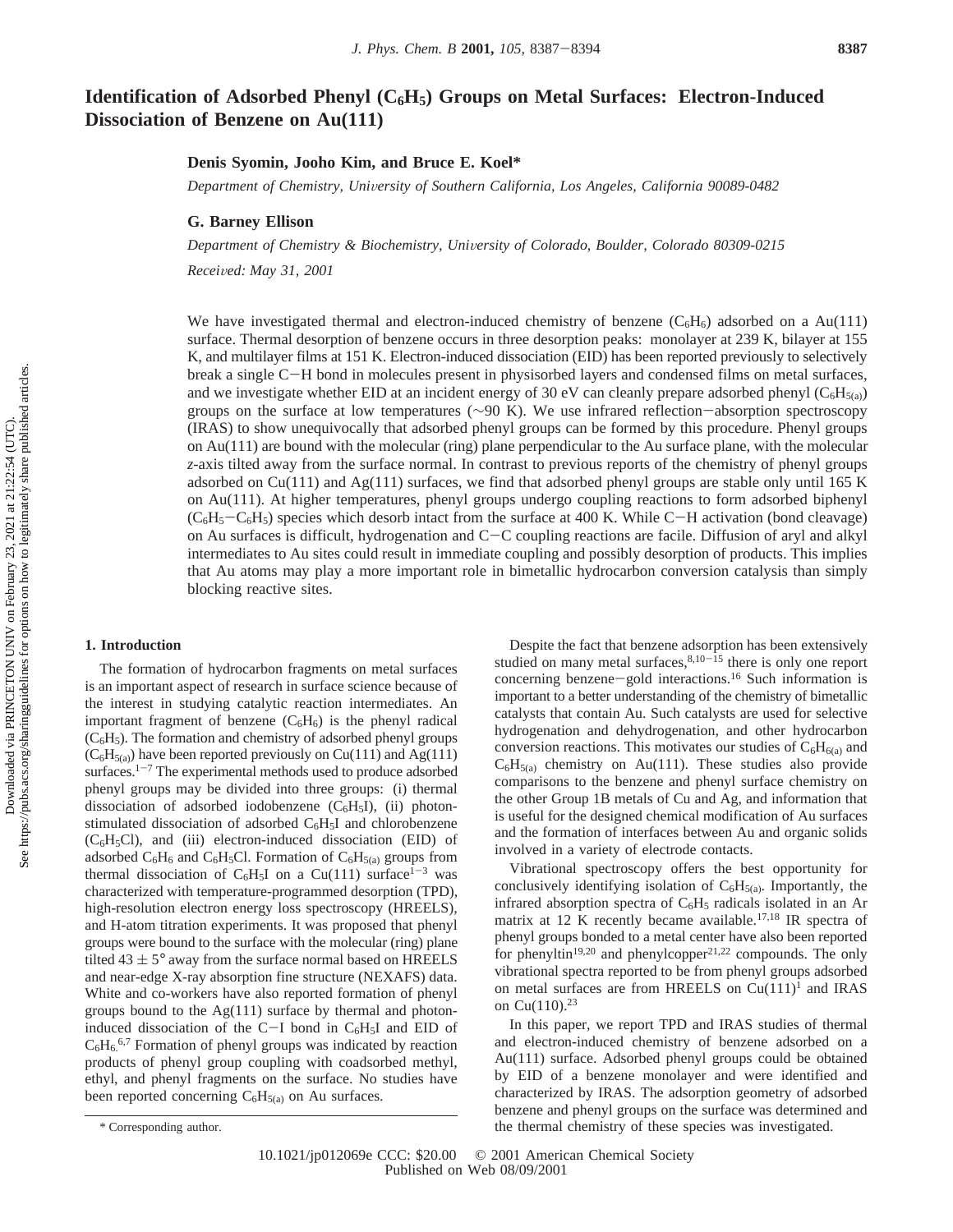# **Identification of Adsorbed Phenyl (C6H5) Groups on Metal Surfaces: Electron-Induced Dissociation of Benzene on Au(111)**

# **Denis Syomin, Jooho Kim, and Bruce E. Koel\***

*Department of Chemistry, Uni*V*ersity of Southern California, Los Angeles, California 90089-0482*

## **G. Barney Ellison**

*Department of Chemistry & Biochemistry, University of Colorado, Boulder, Colorado 80309-0215* 

*Recei*V*ed: May 31, 2001*

We have investigated thermal and electron-induced chemistry of benzene  $(C_6H_6)$  adsorbed on a Au(111) surface. Thermal desorption of benzene occurs in three desorption peaks: monolayer at 239 K, bilayer at 155 K, and multilayer films at 151 K. Electron-induced dissociation (EID) has been reported previously to selectively break a single C-H bond in molecules present in physisorbed layers and condensed films on metal surfaces, and we investigate whether EID at an incident energy of 30 eV can cleanly prepare adsorbed phenyl ( $C_6H_{5(a)}$ ) groups on the surface at low temperatures (∼90 K). We use infrared reflection-absorption spectroscopy (IRAS) to show unequivocally that adsorbed phenyl groups can be formed by this procedure. Phenyl groups on Au(111) are bound with the molecular (ring) plane perpendicular to the Au surface plane, with the molecular *z*-axis tilted away from the surface normal. In contrast to previous reports of the chemistry of phenyl groups adsorbed on  $Cu(111)$  and  $Ag(111)$  surfaces, we find that adsorbed phenyl groups are stable only until 165 K on Au(111). At higher temperatures, phenyl groups undergo coupling reactions to form adsorbed biphenyl  $(C_6H_5-C_6H_5)$  species which desorb intact from the surface at 400 K. While C-H activation (bond cleavage) on Au surfaces is difficult, hydrogenation and C-C coupling reactions are facile. Diffusion of aryl and alkyl intermediates to Au sites could result in immediate coupling and possibly desorption of products. This implies that Au atoms may play a more important role in bimetallic hydrocarbon conversion catalysis than simply blocking reactive sites.

#### **1. Introduction**

The formation of hydrocarbon fragments on metal surfaces is an important aspect of research in surface science because of the interest in studying catalytic reaction intermediates. An important fragment of benzene  $(C_6H_6)$  is the phenyl radical  $(C<sub>6</sub>H<sub>5</sub>)$ . The formation and chemistry of adsorbed phenyl groups  $(C<sub>6</sub>H<sub>5(a)</sub>)$  have been reported previously on Cu(111) and Ag(111) surfaces. $1-7$  The experimental methods used to produce adsorbed phenyl groups may be divided into three groups: (i) thermal dissociation of adsorbed iodobenzene  $(C_6H_5I)$ , (ii) photonstimulated dissociation of adsorbed  $C_6H_5I$  and chlorobenzene  $(C_6H_5Cl)$ , and (iii) electron-induced dissociation (EID) of adsorbed  $C_6H_6$  and  $C_6H_5Cl$ . Formation of  $C_6H_{5(3)}$  groups from thermal dissociation of  $C_6H_5I$  on a Cu(111) surface<sup>1-3</sup> was characterized with temperature-programmed desorption (TPD), high-resolution electron energy loss spectroscopy (HREELS), and H-atom titration experiments. It was proposed that phenyl groups were bound to the surface with the molecular (ring) plane tilted  $43 \pm 5^{\circ}$  away from the surface normal based on HREELS and near-edge X-ray absorption fine structure (NEXAFS) data. White and co-workers have also reported formation of phenyl groups bound to the  $Ag(111)$  surface by thermal and photoninduced dissociation of the C-I bond in  $C_6H_5I$  and EID of  $C_6H_6^{6,7}$  Formation of phenyl groups was indicated by reaction products of phenyl group coupling with coadsorbed methyl, ethyl, and phenyl fragments on the surface. No studies have been reported concerning  $C_6H_{5(a)}$  on Au surfaces.

Vibrational spectroscopy offers the best opportunity for conclusively identifying isolation of  $C_6H_{5(a)}$ . Importantly, the infrared absorption spectra of  $C_6H_5$  radicals isolated in an Ar matrix at 12 K recently became available.<sup>17,18</sup> IR spectra of phenyl groups bonded to a metal center have also been reported for phenyltin<sup>19,20</sup> and phenylcopper<sup>21,22</sup> compounds. The only vibrational spectra reported to be from phenyl groups adsorbed on metal surfaces are from HREELS on  $Cu(111)^1$  and IRAS on  $Cu(110).^{23}$ 

In this paper, we report TPD and IRAS studies of thermal and electron-induced chemistry of benzene adsorbed on a Au(111) surface. Adsorbed phenyl groups could be obtained by EID of a benzene monolayer and were identified and characterized by IRAS. The adsorption geometry of adsorbed benzene and phenyl groups on the surface was determined and \* Corresponding author. the thermal chemistry of these species was investigated.

Despite the fact that benzene adsorption has been extensively studied on many metal surfaces, $8,10-15$  there is only one report concerning benzene-gold interactions.<sup>16</sup> Such information is important to a better understanding of the chemistry of bimetallic catalysts that contain Au. Such catalysts are used for selective hydrogenation and dehydrogenation, and other hydrocarbon conversion reactions. This motivates our studies of  $C_6H_{6(a)}$  and  $C_6H_{5(a)}$  chemistry on Au(111). These studies also provide comparisons to the benzene and phenyl surface chemistry on the other Group 1B metals of Cu and Ag, and information that is useful for the designed chemical modification of Au surfaces and the formation of interfaces between Au and organic solids involved in a variety of electrode contacts.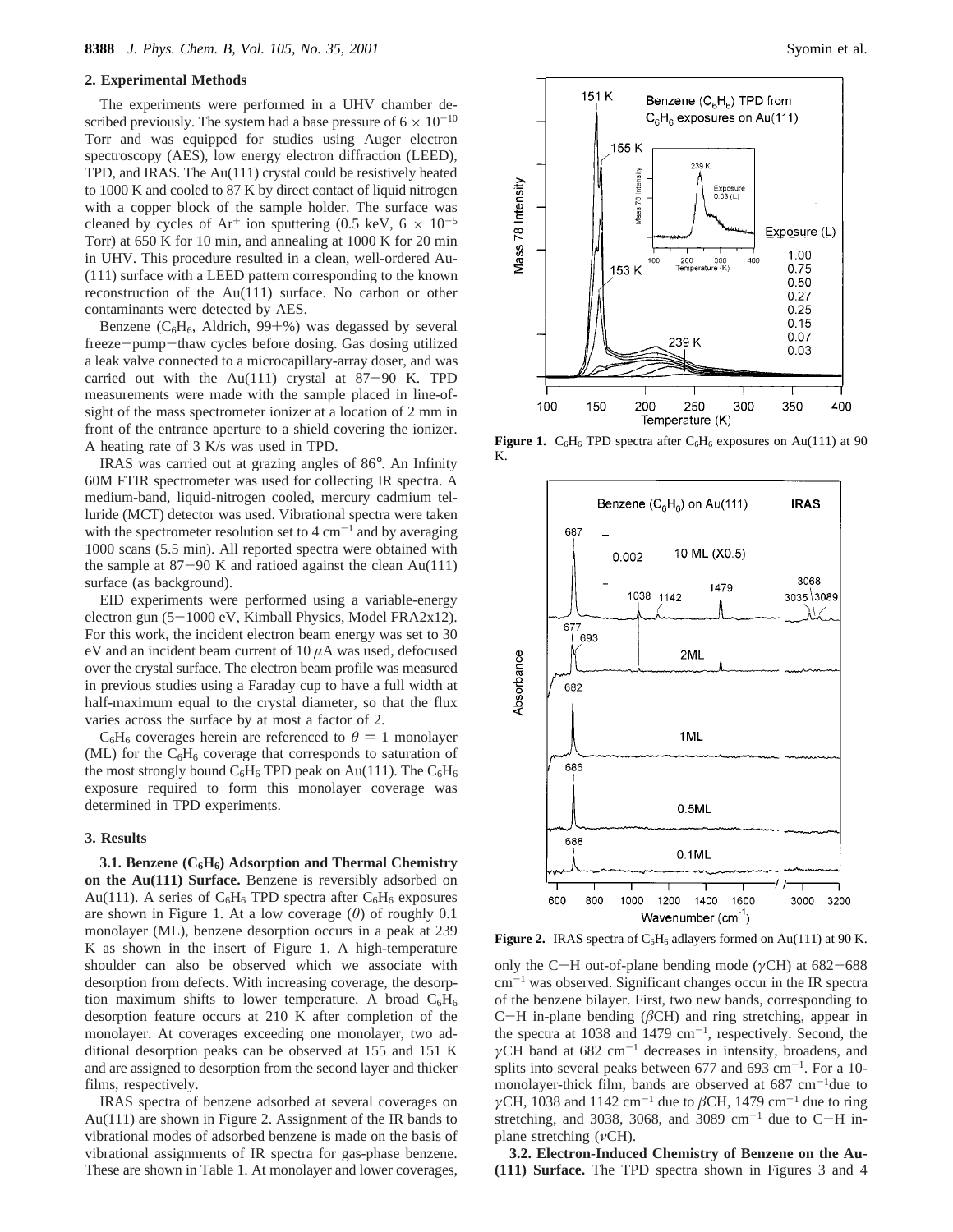#### **2. Experimental Methods**

The experiments were performed in a UHV chamber described previously. The system had a base pressure of  $6 \times 10^{-10}$ Torr and was equipped for studies using Auger electron spectroscopy (AES), low energy electron diffraction (LEED), TPD, and IRAS. The Au(111) crystal could be resistively heated to 1000 K and cooled to 87 K by direct contact of liquid nitrogen with a copper block of the sample holder. The surface was cleaned by cycles of  $Ar^+$  ion sputtering (0.5 keV, 6  $\times$  10<sup>-5</sup> Torr) at 650 K for 10 min, and annealing at 1000 K for 20 min in UHV. This procedure resulted in a clean, well-ordered Au- (111) surface with a LEED pattern corresponding to the known reconstruction of the Au(111) surface. No carbon or other contaminants were detected by AES.

Benzene ( $C_6H_6$ , Aldrich, 99+%) was degassed by several freeze-pump-thaw cycles before dosing. Gas dosing utilized a leak valve connected to a microcapillary-array doser, and was carried out with the Au(111) crystal at  $87-90$  K. TPD measurements were made with the sample placed in line-ofsight of the mass spectrometer ionizer at a location of 2 mm in front of the entrance aperture to a shield covering the ionizer. A heating rate of 3 K/s was used in TPD.

IRAS was carried out at grazing angles of 86°. An Infinity 60M FTIR spectrometer was used for collecting IR spectra. A medium-band, liquid-nitrogen cooled, mercury cadmium telluride (MCT) detector was used. Vibrational spectra were taken with the spectrometer resolution set to  $4 \text{ cm}^{-1}$  and by averaging 1000 scans (5.5 min). All reported spectra were obtained with the sample at  $87-90$  K and ratioed against the clean Au(111) surface (as background).

EID experiments were performed using a variable-energy electron gun (5-1000 eV, Kimball Physics, Model FRA2x12). For this work, the incident electron beam energy was set to 30 eV and an incident beam current of 10 *µ*A was used, defocused over the crystal surface. The electron beam profile was measured in previous studies using a Faraday cup to have a full width at half-maximum equal to the crystal diameter, so that the flux varies across the surface by at most a factor of 2.

 $C_6H_6$  coverages herein are referenced to  $\theta = 1$  monolayer (ML) for the  $C_6H_6$  coverage that corresponds to saturation of the most strongly bound  $C_6H_6$  TPD peak on Au(111). The  $C_6H_6$ exposure required to form this monolayer coverage was determined in TPD experiments.

# **3. Results**

**3.1. Benzene (C6H6) Adsorption and Thermal Chemistry on the Au(111) Surface.** Benzene is reversibly adsorbed on Au(111). A series of  $C_6H_6$  TPD spectra after  $C_6H_6$  exposures are shown in Figure 1. At a low coverage (*θ*) of roughly 0.1 monolayer (ML), benzene desorption occurs in a peak at 239 K as shown in the insert of Figure 1. A high-temperature shoulder can also be observed which we associate with desorption from defects. With increasing coverage, the desorption maximum shifts to lower temperature. A broad  $C_6H_6$ desorption feature occurs at 210 K after completion of the monolayer. At coverages exceeding one monolayer, two additional desorption peaks can be observed at 155 and 151 K and are assigned to desorption from the second layer and thicker films, respectively.

IRAS spectra of benzene adsorbed at several coverages on Au(111) are shown in Figure 2. Assignment of the IR bands to vibrational modes of adsorbed benzene is made on the basis of vibrational assignments of IR spectra for gas-phase benzene. These are shown in Table 1. At monolayer and lower coverages,



**Figure 1.**  $C_6H_6$  TPD spectra after  $C_6H_6$  exposures on Au(111) at 90 K.



**Figure 2.** IRAS spectra of  $C_6H_6$  adlayers formed on Au(111) at 90 K.

only the C-H out-of-plane bending mode (*γ*CH) at 682-<sup>688</sup>  $cm^{-1}$  was observed. Significant changes occur in the IR spectra of the benzene bilayer. First, two new bands, corresponding to <sup>C</sup>-H in-plane bending (*â*CH) and ring stretching, appear in the spectra at 1038 and 1479  $cm^{-1}$ , respectively. Second, the *γ*CH band at 682 cm<sup>-1</sup> decreases in intensity, broadens, and splits into several peaks between 677 and 693  $cm^{-1}$ . For a 10monolayer-thick film, bands are observed at  $687 \text{ cm}^{-1}$ due to *γ*CH, 1038 and 1142 cm<sup>-1</sup> due to *β*CH, 1479 cm<sup>-1</sup> due to ring stretching, and 3038, 3068, and 3089 cm<sup>-1</sup> due to C-H inplane stretching (*ν*CH).

**3.2. Electron-Induced Chemistry of Benzene on the Au- (111) Surface.** The TPD spectra shown in Figures 3 and 4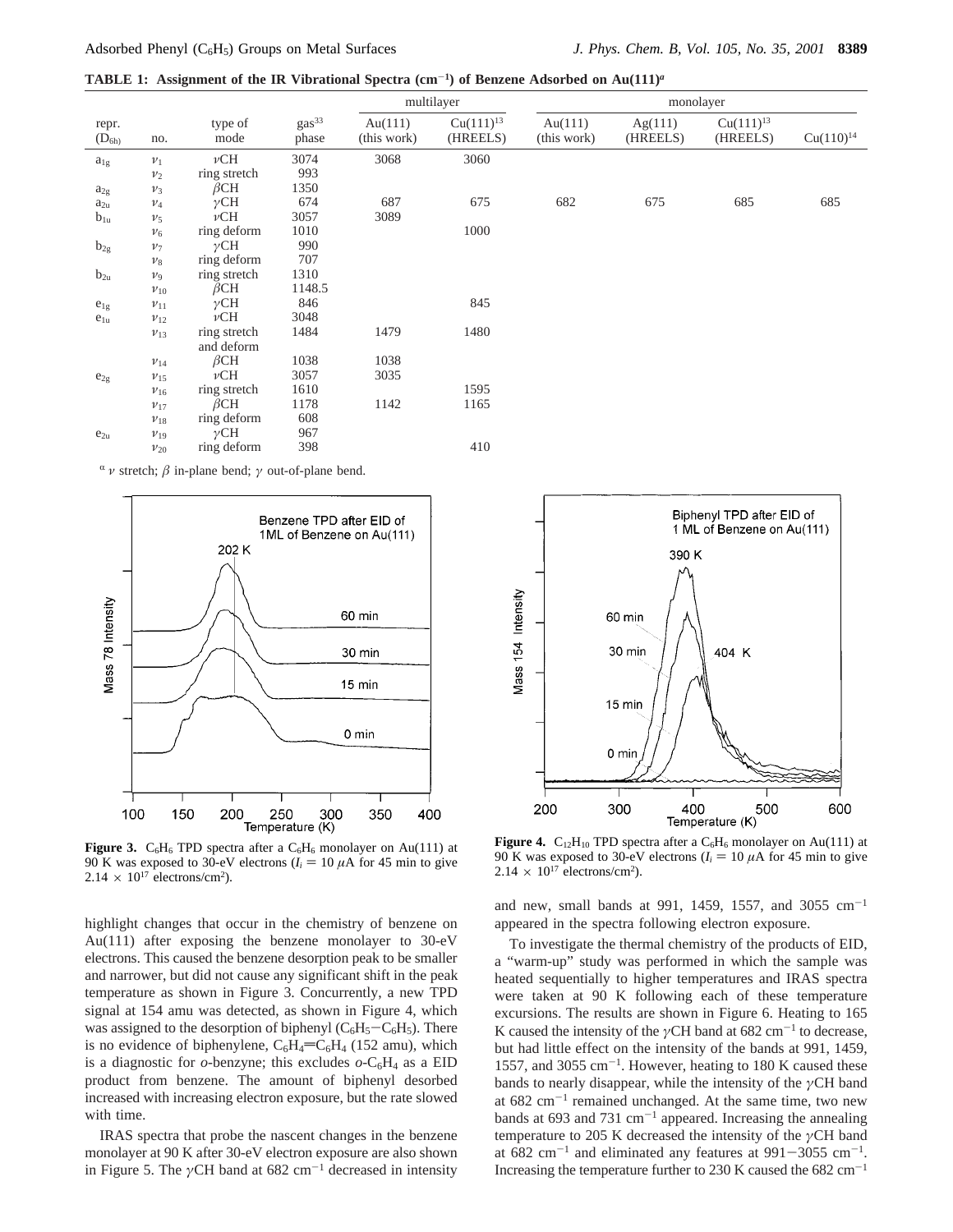**TABLE 1:** Assignment of the IR Vibrational Spectra  $(\text{cm}^{-1})$  of Benzene Adsorbed on Au $(111)^a$ 

|                     |                |                 | multilayer                 |                           | monolayer                  |                        |                     |                            |                |
|---------------------|----------------|-----------------|----------------------------|---------------------------|----------------------------|------------------------|---------------------|----------------------------|----------------|
| repr.<br>$(D_{6h)}$ | no.            | type of<br>mode | gas <sup>33</sup><br>phase | Au $(111)$<br>(this work) | $Cu(111)^{13}$<br>(HREELS) | Au(111)<br>(this work) | Ag(111)<br>(HREELS) | $Cu(111)^{13}$<br>(HREELS) | $Cu(110)^{14}$ |
| $a_{1g}$            | $\nu_1$        | $\nu$ CH        | 3074                       | 3068                      | 3060                       |                        |                     |                            |                |
|                     | $v_2$          | ring stretch    | 993                        |                           |                            |                        |                     |                            |                |
| $a_{2g}$            | $v_3$          | $\beta$ CH      | 1350                       |                           |                            |                        |                     |                            |                |
| $a_{2u}$            | $\nu_4$        | $\gamma$ CH     | 674                        | 687                       | 675                        | 682                    | 675                 | 685                        | 685            |
| $b_{1u}$            | v <sub>5</sub> | $\nu$ CH        | 3057                       | 3089                      |                            |                        |                     |                            |                |
|                     | $\nu_6$        | ring deform     | 1010                       |                           | 1000                       |                        |                     |                            |                |
| $b_{2g}$            | v <sub>7</sub> | $\gamma$ CH     | 990                        |                           |                            |                        |                     |                            |                |
|                     | $v_8$          | ring deform     | 707                        |                           |                            |                        |                     |                            |                |
| $b_{2u}$            | $\nu_9$        | ring stretch    | 1310                       |                           |                            |                        |                     |                            |                |
|                     | $v_{10}$       | $\beta$ CH      | 1148.5                     |                           |                            |                        |                     |                            |                |
| $e_{1g}$            | $\nu_{11}$     | $\gamma$ CH     | 846                        |                           | 845                        |                        |                     |                            |                |
| $e_{1u}$            | $v_{12}$       | $\nu$ CH        | 3048                       |                           |                            |                        |                     |                            |                |
|                     | $v_{13}$       | ring stretch    | 1484                       | 1479                      | 1480                       |                        |                     |                            |                |
|                     |                | and deform      |                            |                           |                            |                        |                     |                            |                |
|                     | $\nu_{14}$     | $\beta$ CH      | 1038                       | 1038                      |                            |                        |                     |                            |                |
| $e_{2g}$            | $v_{15}$       | $\nu$ CH        | 3057                       | 3035                      |                            |                        |                     |                            |                |
|                     | $v_{16}$       | ring stretch    | 1610                       |                           | 1595                       |                        |                     |                            |                |
|                     | $v_{17}$       | $\beta$ CH      | 1178                       | 1142                      | 1165                       |                        |                     |                            |                |
|                     | $v_{18}$       | ring deform     | 608                        |                           |                            |                        |                     |                            |                |
| $e_{2u}$            | $v_{19}$       | $\gamma$ CH     | 967                        |                           |                            |                        |                     |                            |                |
|                     | $v_{20}$       | ring deform     | 398                        |                           | 410                        |                        |                     |                            |                |

<sup>R</sup> *ν* stretch; *â* in-plane bend; *γ* out-of-plane bend.



**Figure 3.**  $C_6H_6$  TPD spectra after a  $C_6H_6$  monolayer on Au(111) at 90 K was exposed to 30-eV electrons  $(I_i = 10 \mu A)$  for 45 min to give  $2.14 \times 10^{17}$  electrons/cm<sup>2</sup>).

highlight changes that occur in the chemistry of benzene on Au(111) after exposing the benzene monolayer to 30-eV electrons. This caused the benzene desorption peak to be smaller and narrower, but did not cause any significant shift in the peak temperature as shown in Figure 3. Concurrently, a new TPD signal at 154 amu was detected, as shown in Figure 4, which was assigned to the desorption of biphenyl  $(C_6H_5-C_6H_5)$ . There is no evidence of biphenylene,  $C_6H_4=C_6H_4$  (152 amu), which is a diagnostic for  $o$ -benzyne; this excludes  $o$ -C<sub>6</sub>H<sub>4</sub> as a EID product from benzene. The amount of biphenyl desorbed increased with increasing electron exposure, but the rate slowed with time.

IRAS spectra that probe the nascent changes in the benzene monolayer at 90 K after 30-eV electron exposure are also shown in Figure 5. The  $\gamma$ CH band at 682 cm<sup>-1</sup> decreased in intensity



**Figure 4.**  $C_{12}H_{10}$  TPD spectra after a  $C_6H_6$  monolayer on Au(111) at 90 K was exposed to 30-eV electrons  $(I_i = 10 \mu A)$  for 45 min to give  $2.14 \times 10^{17}$  electrons/cm<sup>2</sup>).

and new, small bands at 991, 1459, 1557, and 3055  $cm^{-1}$ appeared in the spectra following electron exposure.

To investigate the thermal chemistry of the products of EID, a "warm-up" study was performed in which the sample was heated sequentially to higher temperatures and IRAS spectra were taken at 90 K following each of these temperature excursions. The results are shown in Figure 6. Heating to 165 K caused the intensity of the  $\gamma$ CH band at 682 cm<sup>-1</sup> to decrease, but had little effect on the intensity of the bands at 991, 1459, 1557, and 3055  $cm^{-1}$ . However, heating to 180 K caused these bands to nearly disappear, while the intensity of the *γ*CH band at  $682 \text{ cm}^{-1}$  remained unchanged. At the same time, two new bands at 693 and 731  $cm^{-1}$  appeared. Increasing the annealing temperature to 205 K decreased the intensity of the *γ*CH band at  $682 \text{ cm}^{-1}$  and eliminated any features at  $991-3055 \text{ cm}^{-1}$ . Increasing the temperature further to 230 K caused the  $682 \text{ cm}^{-1}$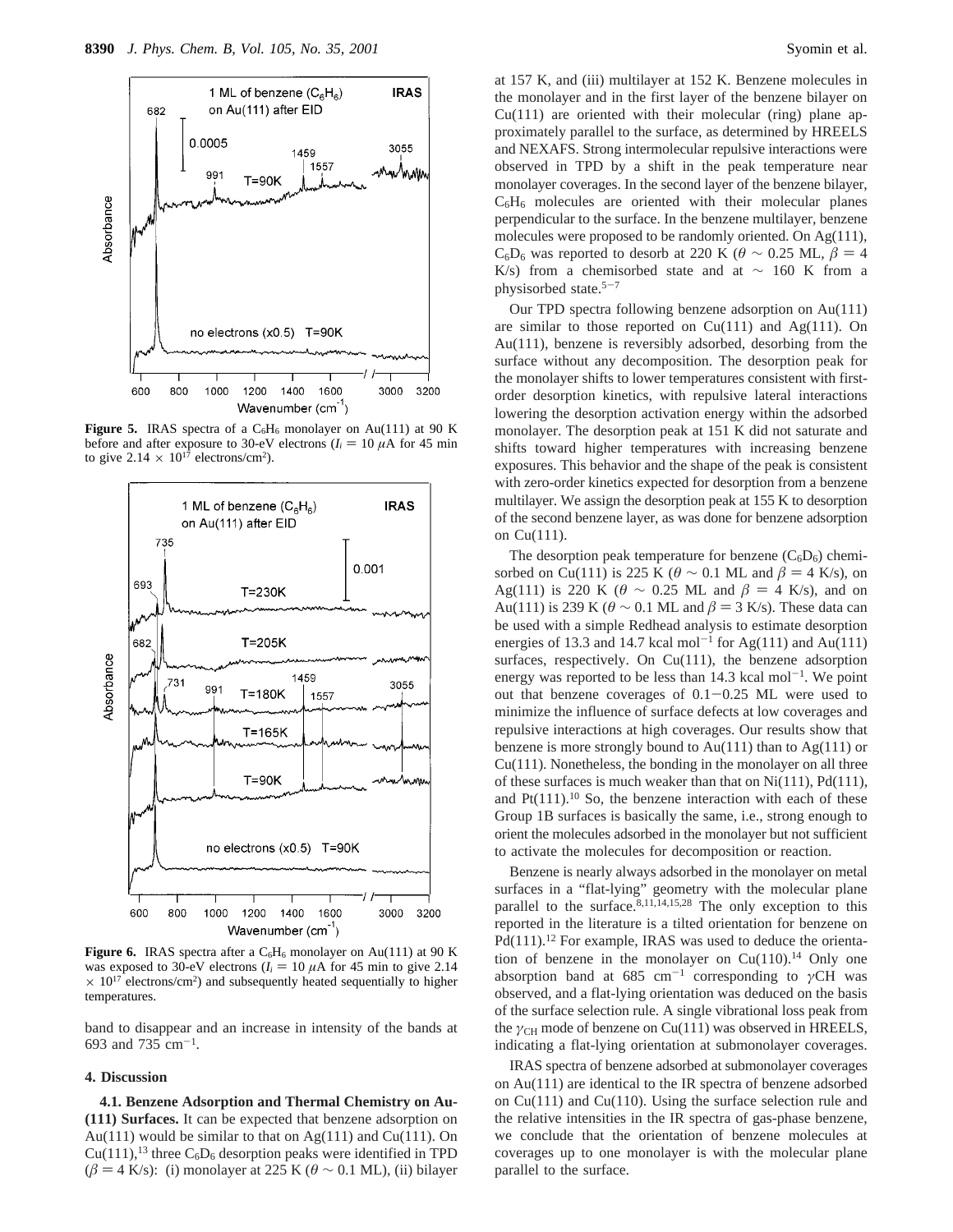

**Figure 5.** IRAS spectra of a  $C_6H_6$  monolayer on Au(111) at 90 K before and after exposure to 30-eV electrons  $(I_i = 10 \mu A)$  for 45 min to give  $2.14 \times 10^{17}$  electrons/cm<sup>2</sup>).



**Figure 6.** IRAS spectra after a  $C_6H_6$  monolayer on Au(111) at 90 K was exposed to 30-eV electrons ( $I_i = 10 \mu A$  for 45 min to give 2.14)  $\times$  10<sup>17</sup> electrons/cm<sup>2</sup>) and subsequently heated sequentially to higher temperatures.

band to disappear and an increase in intensity of the bands at 693 and 735  $cm^{-1}$ .

# **4. Discussion**

**4.1. Benzene Adsorption and Thermal Chemistry on Au- (111) Surfaces.** It can be expected that benzene adsorption on Au(111) would be similar to that on  $Ag(111)$  and  $Cu(111)$ . On  $Cu(111),<sup>13</sup>$  three  $C_6D_6$  desorption peaks were identified in TPD ( $\beta$  = 4 K/s): (i) monolayer at 225 K ( $\theta$  ~ 0.1 ML), (ii) bilayer at 157 K, and (iii) multilayer at 152 K. Benzene molecules in the monolayer and in the first layer of the benzene bilayer on  $Cu(111)$  are oriented with their molecular (ring) plane approximately parallel to the surface, as determined by HREELS and NEXAFS. Strong intermolecular repulsive interactions were observed in TPD by a shift in the peak temperature near monolayer coverages. In the second layer of the benzene bilayer,  $C_6H_6$  molecules are oriented with their molecular planes perpendicular to the surface. In the benzene multilayer, benzene molecules were proposed to be randomly oriented. On Ag(111),  $C_6D_6$  was reported to desorb at 220 K ( $\theta \sim 0.25$  ML,  $\beta = 4$ K/s) from a chemisorbed state and at  $\sim$  160 K from a physisorbed state.5-<sup>7</sup>

Our TPD spectra following benzene adsorption on Au(111) are similar to those reported on  $Cu(111)$  and  $Ag(111)$ . On Au(111), benzene is reversibly adsorbed, desorbing from the surface without any decomposition. The desorption peak for the monolayer shifts to lower temperatures consistent with firstorder desorption kinetics, with repulsive lateral interactions lowering the desorption activation energy within the adsorbed monolayer. The desorption peak at 151 K did not saturate and shifts toward higher temperatures with increasing benzene exposures. This behavior and the shape of the peak is consistent with zero-order kinetics expected for desorption from a benzene multilayer. We assign the desorption peak at 155 K to desorption of the second benzene layer, as was done for benzene adsorption on Cu(111).

The desorption peak temperature for benzene  $(C_6D_6)$  chemisorbed on Cu(111) is 225 K ( $\theta \sim 0.1$  ML and  $\beta = 4$  K/s), on Ag(111) is 220 K ( $\theta \sim 0.25$  ML and  $\beta = 4$  K/s), and on Au(111) is 239 K ( $\theta \sim 0.1$  ML and  $\beta = 3$  K/s). These data can be used with a simple Redhead analysis to estimate desorption energies of 13.3 and 14.7 kcal mol<sup>-1</sup> for Ag(111) and Au(111) surfaces, respectively. On Cu(111), the benzene adsorption energy was reported to be less than  $14.3$  kcal mol<sup>-1</sup>. We point out that benzene coverages of  $0.1-0.25$  ML were used to minimize the influence of surface defects at low coverages and repulsive interactions at high coverages. Our results show that benzene is more strongly bound to  $Au(111)$  than to  $Ag(111)$  or Cu(111). Nonetheless, the bonding in the monolayer on all three of these surfaces is much weaker than that on Ni(111), Pd(111), and  $Pt(111).10$  So, the benzene interaction with each of these Group 1B surfaces is basically the same, i.e., strong enough to orient the molecules adsorbed in the monolayer but not sufficient to activate the molecules for decomposition or reaction.

Benzene is nearly always adsorbed in the monolayer on metal surfaces in a "flat-lying" geometry with the molecular plane parallel to the surface.<sup>8,11,14,15,28</sup> The only exception to this reported in the literature is a tilted orientation for benzene on Pd(111).<sup>12</sup> For example, IRAS was used to deduce the orientation of benzene in the monolayer on  $Cu(110).<sup>14</sup>$  Only one absorption band at 685 cm<sup>-1</sup> corresponding to  $\gamma$ CH was observed, and a flat-lying orientation was deduced on the basis of the surface selection rule. A single vibrational loss peak from the *γ*<sub>CH</sub> mode of benzene on Cu(111) was observed in HREELS, indicating a flat-lying orientation at submonolayer coverages.

IRAS spectra of benzene adsorbed at submonolayer coverages on Au(111) are identical to the IR spectra of benzene adsorbed on Cu(111) and Cu(110). Using the surface selection rule and the relative intensities in the IR spectra of gas-phase benzene, we conclude that the orientation of benzene molecules at coverages up to one monolayer is with the molecular plane parallel to the surface.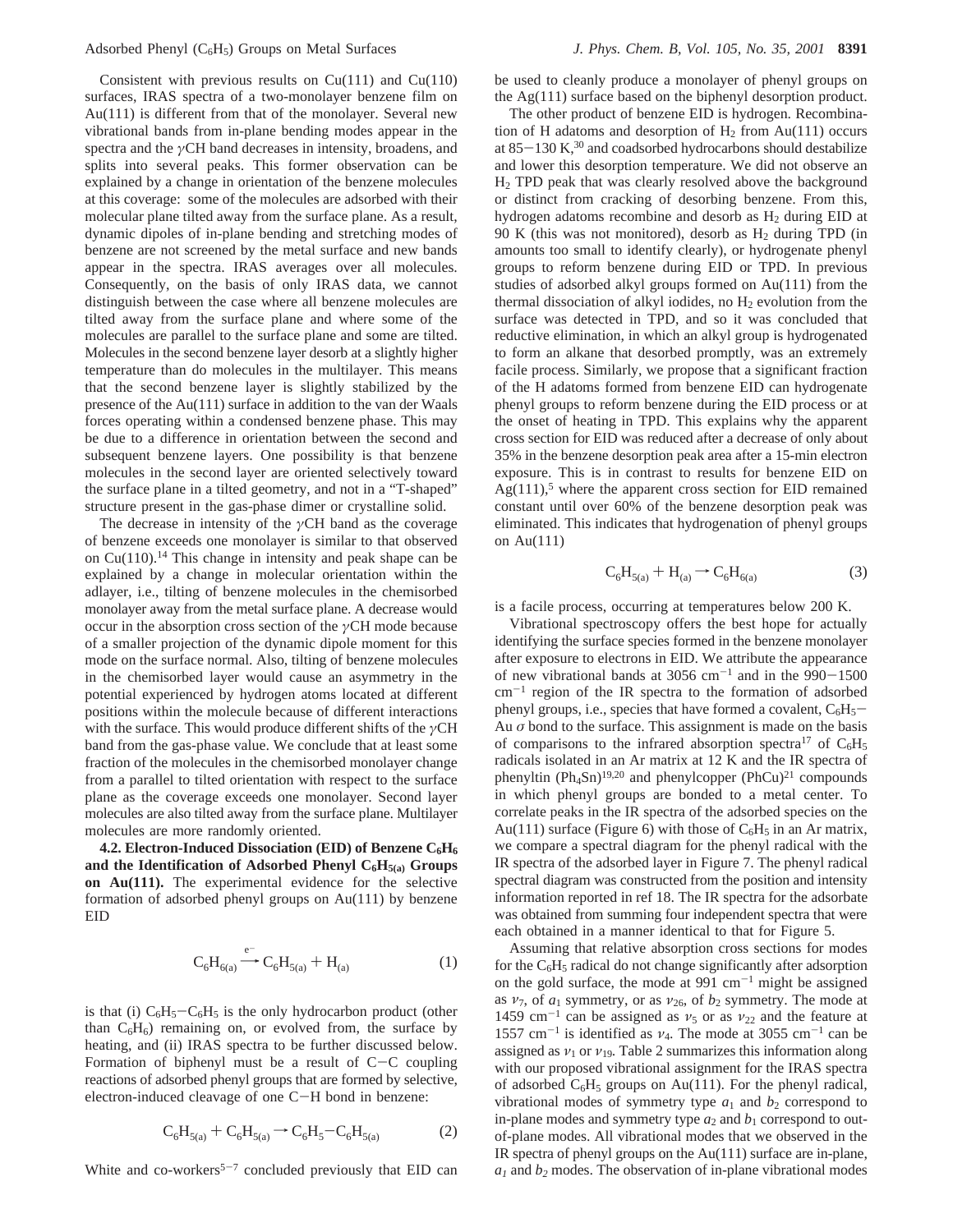Consistent with previous results on  $Cu(111)$  and  $Cu(110)$ surfaces, IRAS spectra of a two-monolayer benzene film on Au(111) is different from that of the monolayer. Several new vibrational bands from in-plane bending modes appear in the spectra and the *γ*CH band decreases in intensity, broadens, and splits into several peaks. This former observation can be explained by a change in orientation of the benzene molecules at this coverage: some of the molecules are adsorbed with their molecular plane tilted away from the surface plane. As a result, dynamic dipoles of in-plane bending and stretching modes of benzene are not screened by the metal surface and new bands appear in the spectra. IRAS averages over all molecules. Consequently, on the basis of only IRAS data, we cannot distinguish between the case where all benzene molecules are tilted away from the surface plane and where some of the molecules are parallel to the surface plane and some are tilted. Molecules in the second benzene layer desorb at a slightly higher temperature than do molecules in the multilayer. This means that the second benzene layer is slightly stabilized by the presence of the Au(111) surface in addition to the van der Waals forces operating within a condensed benzene phase. This may be due to a difference in orientation between the second and subsequent benzene layers. One possibility is that benzene molecules in the second layer are oriented selectively toward the surface plane in a tilted geometry, and not in a "T-shaped" structure present in the gas-phase dimer or crystalline solid.

The decrease in intensity of the *γ*CH band as the coverage of benzene exceeds one monolayer is similar to that observed on  $Cu(110).<sup>14</sup>$  This change in intensity and peak shape can be explained by a change in molecular orientation within the adlayer, i.e., tilting of benzene molecules in the chemisorbed monolayer away from the metal surface plane. A decrease would occur in the absorption cross section of the *γ*CH mode because of a smaller projection of the dynamic dipole moment for this mode on the surface normal. Also, tilting of benzene molecules in the chemisorbed layer would cause an asymmetry in the potential experienced by hydrogen atoms located at different positions within the molecule because of different interactions with the surface. This would produce different shifts of the *γ*CH band from the gas-phase value. We conclude that at least some fraction of the molecules in the chemisorbed monolayer change from a parallel to tilted orientation with respect to the surface plane as the coverage exceeds one monolayer. Second layer molecules are also tilted away from the surface plane. Multilayer molecules are more randomly oriented.

4.2. Electron-Induced Dissociation (EID) of Benzene C<sub>6</sub>H<sub>6</sub> and the Identification of Adsorbed Phenyl  $C_6H_{5(a)}$  Groups **on Au(111).** The experimental evidence for the selective formation of adsorbed phenyl groups on Au(111) by benzene EID

$$
C_6H_{6(a)} \xrightarrow{e^-} C_6H_{5(a)} + H_{(a)}
$$
 (1)

is that (i)  $C_6H_5-C_6H_5$  is the only hydrocarbon product (other than  $C_6H_6$ ) remaining on, or evolved from, the surface by heating, and (ii) IRAS spectra to be further discussed below. Formation of biphenyl must be a result of  $C-C$  coupling reactions of adsorbed phenyl groups that are formed by selective, electron-induced cleavage of one C-H bond in benzene:

$$
C_6H_{5(a)} + C_6H_{5(a)} \to C_6H_5 - C_6H_{5(a)} \tag{2}
$$

White and co-workers<sup>5-7</sup> concluded previously that EID can

be used to cleanly produce a monolayer of phenyl groups on the Ag(111) surface based on the biphenyl desorption product.

The other product of benzene EID is hydrogen. Recombination of H adatoms and desorption of  $H_2$  from Au(111) occurs at  $85-130$  K,<sup>30</sup> and coadsorbed hydrocarbons should destabilize and lower this desorption temperature. We did not observe an H2 TPD peak that was clearly resolved above the background or distinct from cracking of desorbing benzene. From this, hydrogen adatoms recombine and desorb as  $H<sub>2</sub>$  during EID at 90 K (this was not monitored), desorb as  $H_2$  during TPD (in amounts too small to identify clearly), or hydrogenate phenyl groups to reform benzene during EID or TPD. In previous studies of adsorbed alkyl groups formed on Au(111) from the thermal dissociation of alkyl iodides, no  $H_2$  evolution from the surface was detected in TPD, and so it was concluded that reductive elimination, in which an alkyl group is hydrogenated to form an alkane that desorbed promptly, was an extremely facile process. Similarly, we propose that a significant fraction of the H adatoms formed from benzene EID can hydrogenate phenyl groups to reform benzene during the EID process or at the onset of heating in TPD. This explains why the apparent cross section for EID was reduced after a decrease of only about 35% in the benzene desorption peak area after a 15-min electron exposure. This is in contrast to results for benzene EID on  $Ag(111)$ ,<sup>5</sup> where the apparent cross section for EID remained constant until over 60% of the benzene desorption peak was eliminated. This indicates that hydrogenation of phenyl groups on Au(111)

$$
C_6H_{5(a)} + H_{(a)} \to C_6H_{6(a)}
$$
 (3)

is a facile process, occurring at temperatures below 200 K.

Vibrational spectroscopy offers the best hope for actually identifying the surface species formed in the benzene monolayer after exposure to electrons in EID. We attribute the appearance of new vibrational bands at 3056 cm<sup>-1</sup> and in the  $990-1500$  $cm^{-1}$  region of the IR spectra to the formation of adsorbed phenyl groups, i.e., species that have formed a covalent,  $C_6H_5$ -Au  $\sigma$  bond to the surface. This assignment is made on the basis of comparisons to the infrared absorption spectra<sup>17</sup> of  $C_6H_5$ radicals isolated in an Ar matrix at 12 K and the IR spectra of phenyltin (Ph<sub>4</sub>Sn)<sup>19,20</sup> and phenylcopper (PhCu)<sup>21</sup> compounds in which phenyl groups are bonded to a metal center. To correlate peaks in the IR spectra of the adsorbed species on the Au(111) surface (Figure 6) with those of  $C_6H_5$  in an Ar matrix, we compare a spectral diagram for the phenyl radical with the IR spectra of the adsorbed layer in Figure 7. The phenyl radical spectral diagram was constructed from the position and intensity information reported in ref 18. The IR spectra for the adsorbate was obtained from summing four independent spectra that were each obtained in a manner identical to that for Figure 5.

Assuming that relative absorption cross sections for modes for the  $C_6H_5$  radical do not change significantly after adsorption on the gold surface, the mode at  $991 \text{ cm}^{-1}$  might be assigned as  $v_7$ , of  $a_1$  symmetry, or as  $v_{26}$ , of  $b_2$  symmetry. The mode at 1459 cm<sup>-1</sup> can be assigned as  $v_5$  or as  $v_{22}$  and the feature at 1557 cm<sup>-1</sup> is identified as  $v_4$ . The mode at 3055 cm<sup>-1</sup> can be assigned as  $v_1$  or  $v_{19}$ . Table 2 summarizes this information along with our proposed vibrational assignment for the IRAS spectra of adsorbed  $C_6H_5$  groups on Au(111). For the phenyl radical, vibrational modes of symmetry type  $a_1$  and  $b_2$  correspond to in-plane modes and symmetry type  $a_2$  and  $b_1$  correspond to outof-plane modes. All vibrational modes that we observed in the IR spectra of phenyl groups on the Au(111) surface are in-plane,  $a_1$  and  $b_2$  modes. The observation of in-plane vibrational modes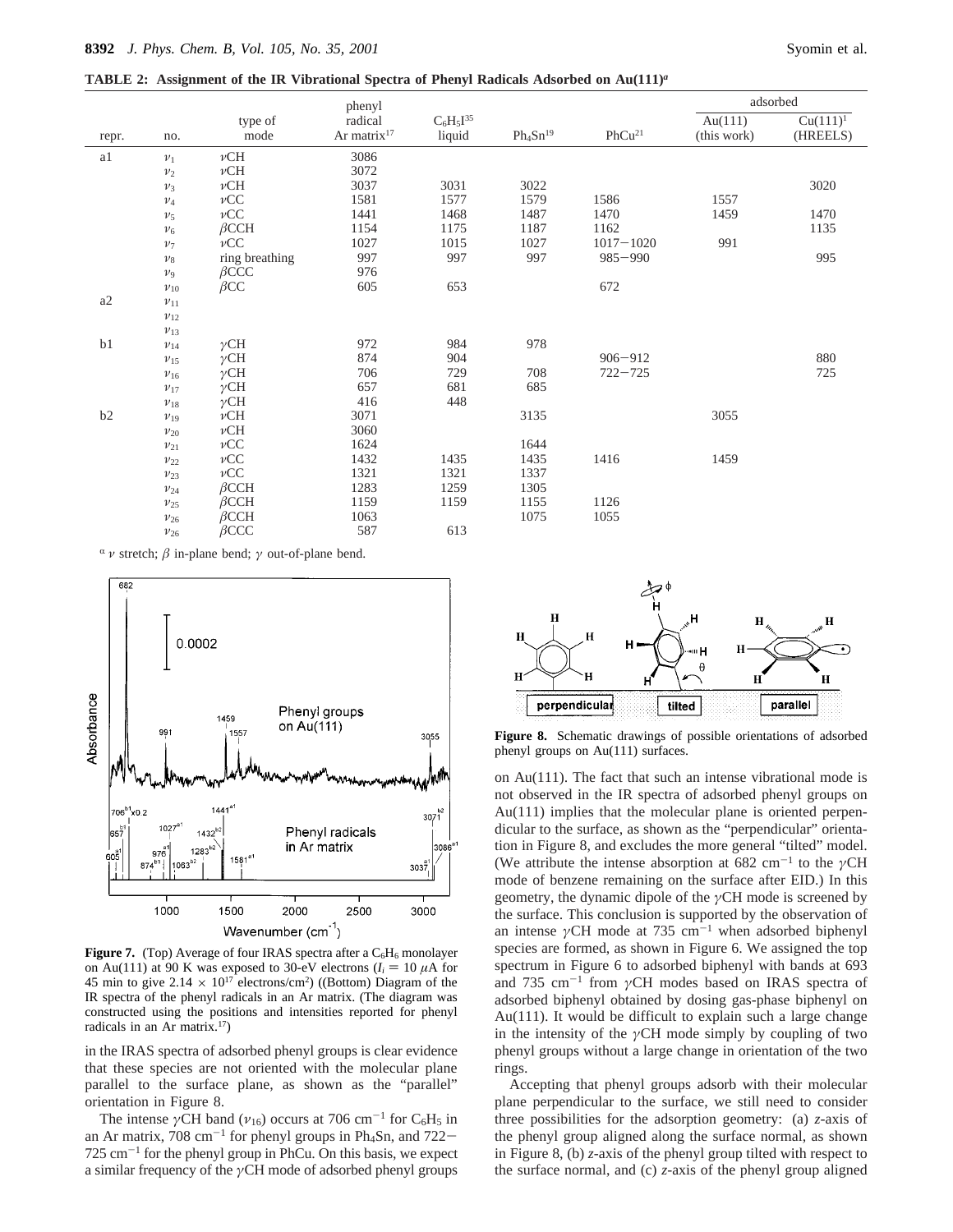rep

a2 *ν*<sup>11</sup>

**TABLE 2: Assignment of the IR Vibrational Spectra of Phenyl Radicals Adsorbed on Au(111)***<sup>a</sup>*

*ν*<sup>21</sup> *ν*CC 1624 1644

*ν*<sup>23</sup> *ν*CC 1321 1321 1337 *ν*<sup>24</sup> *â*CCH 1283 1259 1305

*ν*<sup>26</sup> *â*CCC 587 613

*ν*<sup>25</sup> *â*CCH 1159 1159 1155 1126 *ν*<sup>26</sup> *â*CCH 1063 1075 1055

|       | no.        | type of<br>mode | phenyl<br>radical<br>Ar matrix $17$ | $C_6H_5I^{35}$<br>liquid | $Ph_4Sn^{19}$ | PhCu <sup>21</sup> | adsorbed                  |                         |
|-------|------------|-----------------|-------------------------------------|--------------------------|---------------|--------------------|---------------------------|-------------------------|
| repr. |            |                 |                                     |                          |               |                    | Au $(111)$<br>(this work) | $Cu(111)^1$<br>(HREELS) |
| a1    | $v_1$      | $\nu$ CH        | 3086                                |                          |               |                    |                           |                         |
|       | $v_2$      | $\nu$ CH        | 3072                                |                          |               |                    |                           |                         |
|       | $\nu_3$    | $\nu$ CH        | 3037                                | 3031                     | 3022          |                    |                           | 3020                    |
|       | $\nu_4$    | $\nu CC$        | 1581                                | 1577                     | 1579          | 1586               | 1557                      |                         |
|       | $v_5$      | $\nu CC$        | 1441                                | 1468                     | 1487          | 1470               | 1459                      | 1470                    |
|       | $v_6$      | $\beta$ CCH     | 1154                                | 1175                     | 1187          | 1162               |                           | 1135                    |
|       | $v_7$      | $\nu CC$        | 1027                                | 1015                     | 1027          | $1017 - 1020$      | 991                       |                         |
|       | $v_8$      | ring breathing  | 997                                 | 997                      | 997           | $985 - 990$        |                           | 995                     |
|       | $v_{9}$    | $\beta$ CCC     | 976                                 |                          |               |                    |                           |                         |
|       | $v_{10}$   | $\beta$ CC      | 605                                 | 653                      |               | 672                |                           |                         |
| a2    | $\nu_{11}$ |                 |                                     |                          |               |                    |                           |                         |
|       | $\nu_{12}$ |                 |                                     |                          |               |                    |                           |                         |
|       | $v_{13}$   |                 |                                     |                          |               |                    |                           |                         |
| b1    | $v_{14}$   | $\gamma$ CH     | 972                                 | 984                      | 978           |                    |                           |                         |
|       | $\nu_{15}$ | $\gamma$ CH     | 874                                 | 904                      |               | $906 - 912$        |                           | 880                     |
|       | $v_{16}$   | $\gamma$ CH     | 706                                 | 729                      | 708           | $722 - 725$        |                           | 725                     |
|       | $v_{17}$   | $\gamma$ CH     | 657                                 | 681                      | 685           |                    |                           |                         |
|       | $v_{18}$   | $\gamma$ CH     | 416                                 | 448                      |               |                    |                           |                         |
| b2    | $v_{19}$   | $\nu$ CH        | 3071                                |                          | 3135          |                    | 3055                      |                         |
|       | $v_{20}$   | $\nu$ CH        | 3060                                |                          |               |                    |                           |                         |

*ν*<sub>22</sub> *ν*CC 1432 1435 1435 1416 1459

 $\alpha$  *ν* stretch;  $\beta$  in-plane bend;  $\gamma$  out-of-plane bend.



**Figure 7.** (Top) Average of four IRAS spectra after a  $C_6H_6$  monolayer on Au(111) at 90 K was exposed to 30-eV electrons  $(I_i = 10 \mu A)$  for 45 min to give  $2.14 \times 10^{17}$  electrons/cm<sup>2</sup>) ((Bottom) Diagram of the IR spectra of the phenyl radicals in an Ar matrix. (The diagram was constructed using the positions and intensities reported for phenyl radicals in an Ar matrix.17)

in the IRAS spectra of adsorbed phenyl groups is clear evidence that these species are not oriented with the molecular plane parallel to the surface plane, as shown as the "parallel" orientation in Figure 8.

The intense  $\gamma$ CH band ( $\nu_{16}$ ) occurs at 706 cm<sup>-1</sup> for C<sub>6</sub>H<sub>5</sub> in an Ar matrix,  $708 \text{ cm}^{-1}$  for phenyl groups in Ph<sub>4</sub>Sn, and  $722 725 \text{ cm}^{-1}$  for the phenyl group in PhCu. On this basis, we expect a similar frequency of the *γ*CH mode of adsorbed phenyl groups



**Figure 8.** Schematic drawings of possible orientations of adsorbed phenyl groups on Au(111) surfaces.

on Au(111). The fact that such an intense vibrational mode is not observed in the IR spectra of adsorbed phenyl groups on Au(111) implies that the molecular plane is oriented perpendicular to the surface, as shown as the "perpendicular" orientation in Figure 8, and excludes the more general "tilted" model. (We attribute the intense absorption at 682 cm-<sup>1</sup> to the *γ*CH mode of benzene remaining on the surface after EID.) In this geometry, the dynamic dipole of the *γ*CH mode is screened by the surface. This conclusion is supported by the observation of an intense  $\gamma$ CH mode at 735 cm<sup>-1</sup> when adsorbed biphenyl species are formed, as shown in Figure 6. We assigned the top spectrum in Figure 6 to adsorbed biphenyl with bands at 693 and 735 cm-<sup>1</sup> from *γ*CH modes based on IRAS spectra of adsorbed biphenyl obtained by dosing gas-phase biphenyl on Au(111). It would be difficult to explain such a large change in the intensity of the *γ*CH mode simply by coupling of two phenyl groups without a large change in orientation of the two rings.

Accepting that phenyl groups adsorb with their molecular plane perpendicular to the surface, we still need to consider three possibilities for the adsorption geometry: (a) *z*-axis of the phenyl group aligned along the surface normal, as shown in Figure 8, (b) *z*-axis of the phenyl group tilted with respect to the surface normal, and (c) *z*-axis of the phenyl group aligned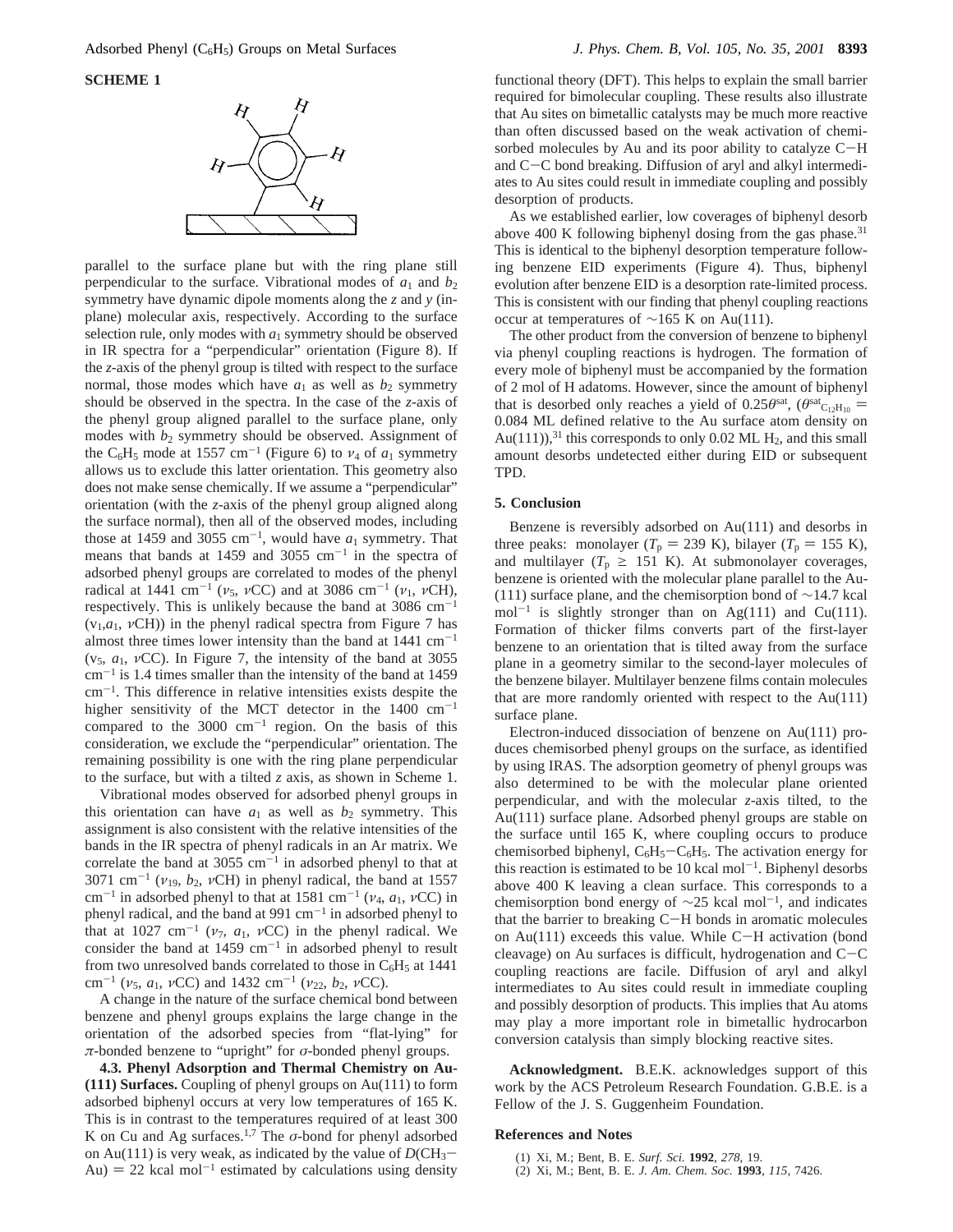

parallel to the surface plane but with the ring plane still perpendicular to the surface. Vibrational modes of  $a_1$  and  $b_2$ symmetry have dynamic dipole moments along the *z* and *y* (inplane) molecular axis, respectively. According to the surface selection rule, only modes with  $a_1$  symmetry should be observed in IR spectra for a "perpendicular" orientation (Figure 8). If the *z*-axis of the phenyl group is tilted with respect to the surface normal, those modes which have  $a_1$  as well as  $b_2$  symmetry should be observed in the spectra. In the case of the *z*-axis of the phenyl group aligned parallel to the surface plane, only modes with  $b_2$  symmetry should be observed. Assignment of the C<sub>6</sub>H<sub>5</sub> mode at 1557 cm<sup>-1</sup> (Figure 6) to  $\nu_4$  of  $a_1$  symmetry allows us to exclude this latter orientation. This geometry also does not make sense chemically. If we assume a "perpendicular" orientation (with the *z*-axis of the phenyl group aligned along the surface normal), then all of the observed modes, including those at 1459 and 3055 cm<sup>-1</sup>, would have  $a_1$  symmetry. That means that bands at 1459 and 3055  $cm^{-1}$  in the spectra of adsorbed phenyl groups are correlated to modes of the phenyl radical at 1441 cm<sup>-1</sup> ( $v_5$ ,  $vCC$ ) and at 3086 cm<sup>-1</sup> ( $v_1$ ,  $vCH$ ), respectively. This is unlikely because the band at  $3086 \text{ cm}^{-1}$  $(v_1, a_1, vCH)$ ) in the phenyl radical spectra from Figure 7 has almost three times lower intensity than the band at  $1441 \text{ cm}^{-1}$ (v5, *a*1, *ν*CC). In Figure 7, the intensity of the band at 3055  $cm^{-1}$  is 1.4 times smaller than the intensity of the band at 1459  $cm^{-1}$ . This difference in relative intensities exists despite the higher sensitivity of the MCT detector in the  $1400 \text{ cm}^{-1}$ compared to the  $3000 \text{ cm}^{-1}$  region. On the basis of this consideration, we exclude the "perpendicular" orientation. The remaining possibility is one with the ring plane perpendicular to the surface, but with a tilted *z* axis, as shown in Scheme 1.

Vibrational modes observed for adsorbed phenyl groups in this orientation can have  $a_1$  as well as  $b_2$  symmetry. This assignment is also consistent with the relative intensities of the bands in the IR spectra of phenyl radicals in an Ar matrix. We correlate the band at 3055  $cm^{-1}$  in adsorbed phenyl to that at  $3071 \text{ cm}^{-1}$  ( $v_{19}$ ,  $b_2$ ,  $vCH$ ) in phenyl radical, the band at 1557 cm<sup>-1</sup> in adsorbed phenyl to that at 1581 cm<sup>-1</sup> ( $\nu_4$ ,  $a_1$ ,  $\nu$ CC) in phenyl radical, and the band at  $991 \text{ cm}^{-1}$  in adsorbed phenyl to that at 1027 cm<sup>-1</sup> ( $v_7$ ,  $a_1$ ,  $vCC$ ) in the phenyl radical. We consider the band at  $1459 \text{ cm}^{-1}$  in adsorbed phenyl to result from two unresolved bands correlated to those in  $C_6H_5$  at 1441 cm-<sup>1</sup> (*ν*5, *a*1, *ν*CC) and 1432 cm-<sup>1</sup> (*ν*22, *b*2, *ν*CC).

A change in the nature of the surface chemical bond between benzene and phenyl groups explains the large change in the orientation of the adsorbed species from "flat-lying" for *π*-bonded benzene to "upright" for *σ*-bonded phenyl groups.

**4.3. Phenyl Adsorption and Thermal Chemistry on Au- (111) Surfaces.** Coupling of phenyl groups on Au(111) to form adsorbed biphenyl occurs at very low temperatures of 165 K. This is in contrast to the temperatures required of at least 300 K on Cu and Ag surfaces.<sup>1,7</sup> The  $\sigma$ -bond for phenyl adsorbed on Au(111) is very weak, as indicated by the value of  $DCH_3$ Au)  $= 22$  kcal mol<sup>-1</sup> estimated by calculations using density

functional theory (DFT). This helps to explain the small barrier required for bimolecular coupling. These results also illustrate that Au sites on bimetallic catalysts may be much more reactive than often discussed based on the weak activation of chemisorbed molecules by Au and its poor ability to catalyze C-<sup>H</sup> and C-C bond breaking. Diffusion of aryl and alkyl intermediates to Au sites could result in immediate coupling and possibly desorption of products.

As we established earlier, low coverages of biphenyl desorb above 400 K following biphenyl dosing from the gas phase.<sup>31</sup> This is identical to the biphenyl desorption temperature following benzene EID experiments (Figure 4). Thus, biphenyl evolution after benzene EID is a desorption rate-limited process. This is consistent with our finding that phenyl coupling reactions occur at temperatures of ∼165 K on Au(111).

The other product from the conversion of benzene to biphenyl via phenyl coupling reactions is hydrogen. The formation of every mole of biphenyl must be accompanied by the formation of 2 mol of H adatoms. However, since the amount of biphenyl that is desorbed only reaches a yield of  $0.25\theta^{sat}$ ,  $(\theta^{sat}C_{12}H_{10})$  = 0.084 ML defined relative to the Au surface atom density on Au(111)),<sup>31</sup> this corresponds to only 0.02 ML  $H_2$ , and this small amount desorbs undetected either during EID or subsequent TPD.

# **5. Conclusion**

Benzene is reversibly adsorbed on Au(111) and desorbs in three peaks: monolayer ( $T_p = 239$  K), bilayer ( $T_p = 155$  K), and multilayer ( $T_p \geq 151$  K). At submonolayer coverages, benzene is oriented with the molecular plane parallel to the Au- (111) surface plane, and the chemisorption bond of  $\sim$ 14.7 kcal mol<sup>-1</sup> is slightly stronger than on Ag(111) and Cu(111). Formation of thicker films converts part of the first-layer benzene to an orientation that is tilted away from the surface plane in a geometry similar to the second-layer molecules of the benzene bilayer. Multilayer benzene films contain molecules that are more randomly oriented with respect to the Au(111) surface plane.

Electron-induced dissociation of benzene on Au(111) produces chemisorbed phenyl groups on the surface, as identified by using IRAS. The adsorption geometry of phenyl groups was also determined to be with the molecular plane oriented perpendicular, and with the molecular *z*-axis tilted, to the Au(111) surface plane. Adsorbed phenyl groups are stable on the surface until 165 K, where coupling occurs to produce chemisorbed biphenyl,  $C_6H_5-C_6H_5$ . The activation energy for this reaction is estimated to be 10 kcal mol<sup> $-1$ </sup>. Biphenyl desorbs above 400 K leaving a clean surface. This corresponds to a chemisorption bond energy of  $\sim$ 25 kcal mol<sup>-1</sup>, and indicates that the barrier to breaking C-H bonds in aromatic molecules on Au(111) exceeds this value. While C-H activation (bond cleavage) on Au surfaces is difficult, hydrogenation and  $C-C$ coupling reactions are facile. Diffusion of aryl and alkyl intermediates to Au sites could result in immediate coupling and possibly desorption of products. This implies that Au atoms may play a more important role in bimetallic hydrocarbon conversion catalysis than simply blocking reactive sites.

**Acknowledgment.** B.E.K. acknowledges support of this work by the ACS Petroleum Research Foundation. G.B.E. is a Fellow of the J. S. Guggenheim Foundation.

## **References and Notes**

- (1) Xi, M.; Bent, B. E. *Surf. Sci.* **1992**, *278*, 19.
- (2) Xi, M.; Bent, B. E. *J. Am. Chem. Soc.* **1993**, *115*, 7426.